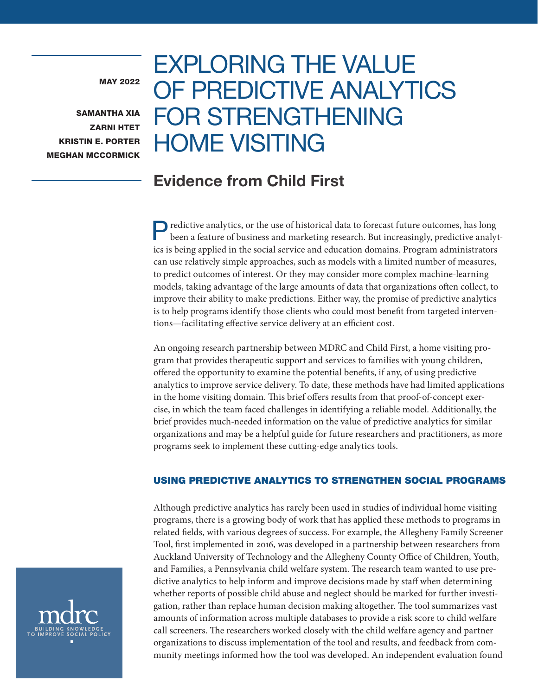MAY 2022

SAMANTHA XIA ZARNI HTET KRISTIN E. PORTER MEGHAN MCCORMICK

# EXPLORING THE VALUE OF PREDICTIVE ANALYTICS FOR STRENGTHENING HOME VISITING

## Evidence from Child First

Predictive analytics, or the use of historical data to forecast future outcomes, has long been a feature of business and marketing research. But increasingly, predictive analytics is being applied in the social service and education domains. Program administrators can use relatively simple approaches, such as models with a limited number of measures, to predict outcomes of interest. Or they may consider more complex machine-learning models, taking advantage of the large amounts of data that organizations often collect, to improve their ability to make predictions. Either way, the promise of predictive analytics is to help programs identify those clients who could most benefit from targeted interventions—facilitating effective service delivery at an efficient cost.

An ongoing research partnership between MDRC and Child First, a home visiting program that provides therapeutic support and services to families with young children, offered the opportunity to examine the potential benefits, if any, of using predictive analytics to improve service delivery. To date, these methods have had limited applications in the home visiting domain. This brief offers results from that proof-of-concept exercise, in which the team faced challenges in identifying a reliable model. Additionally, the brief provides much-needed information on the value of predictive analytics for similar organizations and may be a helpful guide for future researchers and practitioners, as more programs seek to implement these cutting-edge analytics tools.

## USING PREDICTIVE ANALYTICS TO STRENGTHEN SOCIAL PROGRAMS

Although predictive analytics has rarely been used in studies of individual home visiting programs, there is a growing body of work that has applied these methods to programs in related fields, with various degrees of success. For example, the Allegheny Family Screener Tool, first implemented in 2016, was developed in a partnership between researchers from Auckland University of Technology and the Allegheny County Office of Children, Youth, and Families, a Pennsylvania child welfare system. The research team wanted to use predictive analytics to help inform and improve decisions made by staff when determining whether reports of possible child abuse and neglect should be marked for further investigation, rather than replace human decision making altogether. The tool summarizes vast amounts of information across multiple databases to provide a risk score to child welfare call screeners. The researchers worked closely with the child welfare agency and partner organizations to discuss implementation of the tool and results, and feedback from community meetings informed how the tool was developed. An independent evaluation found

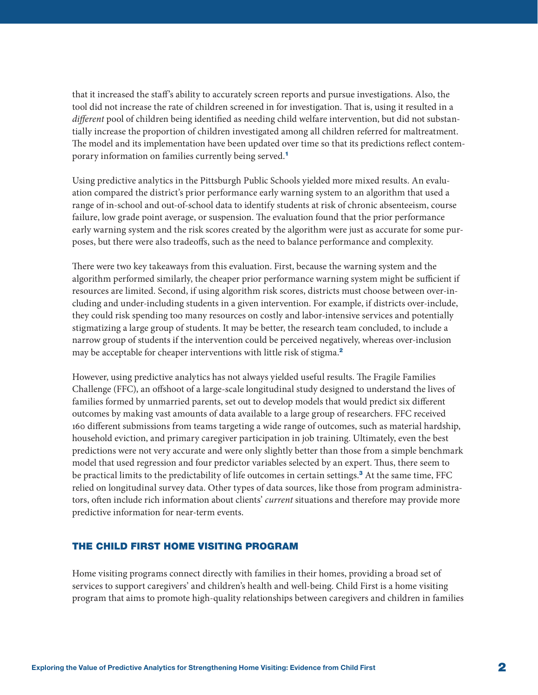<span id="page-1-0"></span>that it increased the staff's ability to accurately screen reports and pursue investigations. Also, the tool did not increase the rate of children screened in for investigation. That is, using it resulted in a *different* pool of children being identified as needing child welfare intervention, but did not substantially increase the proportion of children investigated among all children referred for maltreatment. The model and its implementation have been updated over time so that its predictions reflect contemporary information on families currently being served.[1](#page-17-0)

Using predictive analytics in the Pittsburgh Public Schools yielded more mixed results. An evaluation compared the district's prior performance early warning system to an algorithm that used a range of in-school and out-of-school data to identify students at risk of chronic absenteeism, course failure, low grade point average, or suspension. The evaluation found that the prior performance early warning system and the risk scores created by the algorithm were just as accurate for some purposes, but there were also tradeoffs, such as the need to balance performance and complexity.

There were two key takeaways from this evaluation. First, because the warning system and the algorithm performed similarly, the cheaper prior performance warning system might be sufficient if resources are limited. Second, if using algorithm risk scores, districts must choose between over-including and under-including students in a given intervention. For example, if districts over-include, they could risk spending too many resources on costly and labor-intensive services and potentially stigmatizing a large group of students. It may be better, the research team concluded, to include a narrow group of students if the intervention could be perceived negatively, whereas over-inclusion may be acceptable for cheaper interventions with little risk of stigma.<sup>[2](#page-17-0)</sup>

However, using predictive analytics has not always yielded useful results. The Fragile Families Challenge (FFC), an offshoot of a large-scale longitudinal study designed to understand the lives of families formed by unmarried parents, set out to develop models that would predict six different outcomes by making vast amounts of data available to a large group of researchers. FFC received 160 different submissions from teams targeting a wide range of outcomes, such as material hardship, household eviction, and primary caregiver participation in job training. Ultimately, even the best predictions were not very accurate and were only slightly better than those from a simple benchmark model that used regression and four predictor variables selected by an expert. Thus, there seem to be practical limits to the predictability of life outcomes in certain settings.<sup>[3](#page-17-0)</sup> At the same time, FFC relied on longitudinal survey data. Other types of data sources, like those from program administrators, often include rich information about clients' *current* situations and therefore may provide more predictive information for near-term events.

## THE CHILD FIRST HOME VISITING PROGRAM

Home visiting programs connect directly with families in their homes, providing a broad set of services to support caregivers' and children's health and well-being. Child First is a home visiting program that aims to promote high-quality relationships between caregivers and children in families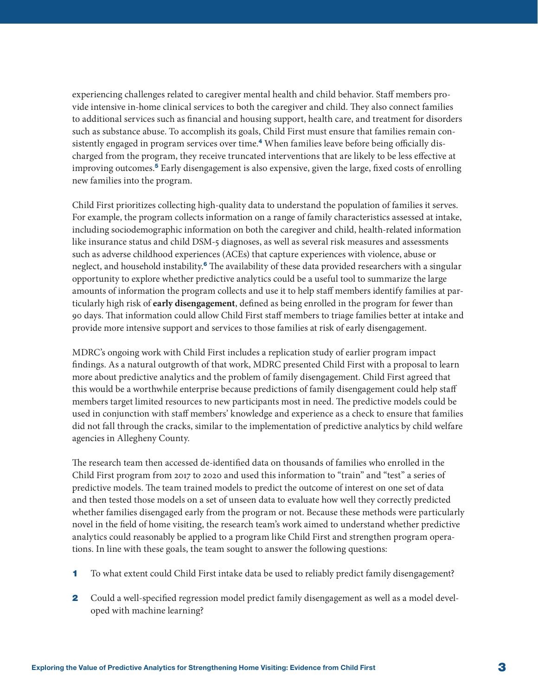<span id="page-2-0"></span>experiencing challenges related to caregiver mental health and child behavior. Staff members provide intensive in-home clinical services to both the caregiver and child. They also connect families to additional services such as financial and housing support, health care, and treatment for disorders such as substance abuse. To accomplish its goals, Child First must ensure that families remain con-sistently engaged in program services over time.<sup>[4](#page-17-0)</sup> When families leave before being officially discharged from the program, they receive truncated interventions that are likely to be less effective at improving outcomes.[5](#page-17-0) Early disengagement is also expensive, given the large, fixed costs of enrolling new families into the program.

Child First prioritizes collecting high-quality data to understand the population of families it serves. For example, the program collects information on a range of family characteristics assessed at intake, including sociodemographic information on both the caregiver and child, health-related information like insurance status and child DSM-5 diagnoses, as well as several risk measures and assessments such as adverse childhood experiences (ACEs) that capture experiences with violence, abuse or neglect, and household instability.<sup>[6](#page-17-0)</sup> The availability of these data provided researchers with a singular opportunity to explore whether predictive analytics could be a useful tool to summarize the large amounts of information the program collects and use it to help staff members identify families at particularly high risk of **early disengagement**, defined as being enrolled in the program for fewer than 90 days. That information could allow Child First staff members to triage families better at intake and provide more intensive support and services to those families at risk of early disengagement.

MDRC's ongoing work with Child First includes a replication study of earlier program impact findings. As a natural outgrowth of that work, MDRC presented Child First with a proposal to learn more about predictive analytics and the problem of family disengagement. Child First agreed that this would be a worthwhile enterprise because predictions of family disengagement could help staff members target limited resources to new participants most in need. The predictive models could be used in conjunction with staff members' knowledge and experience as a check to ensure that families did not fall through the cracks, similar to the implementation of predictive analytics by child welfare agencies in Allegheny County.

The research team then accessed de-identified data on thousands of families who enrolled in the Child First program from 2017 to 2020 and used this information to "train" and "test" a series of predictive models. The team trained models to predict the outcome of interest on one set of data and then tested those models on a set of unseen data to evaluate how well they correctly predicted whether families disengaged early from the program or not. Because these methods were particularly novel in the field of home visiting, the research team's work aimed to understand whether predictive analytics could reasonably be applied to a program like Child First and strengthen program operations. In line with these goals, the team sought to answer the following questions:

- 1 To what extent could Child First intake data be used to reliably predict family disengagement?
- 2 Could a well-specified regression model predict family disengagement as well as a model developed with machine learning?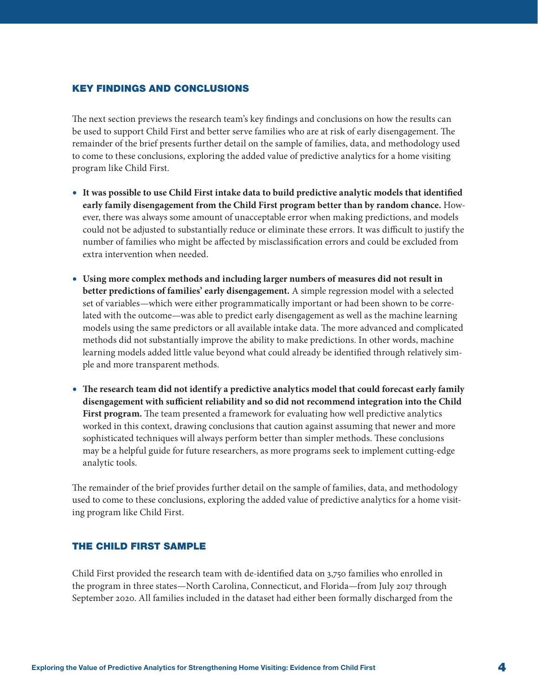#### KEY FINDINGS AND CONCLUSIONS

The next section previews the research team's key findings and conclusions on how the results can be used to support Child First and better serve families who are at risk of early disengagement. The remainder of the brief presents further detail on the sample of families, data, and methodology used to come to these conclusions, exploring the added value of predictive analytics for a home visiting program like Child First.

- **• It was possible to use Child First intake data to build predictive analytic models that identified early family disengagement from the Child First program better than by random chance.** However, there was always some amount of unacceptable error when making predictions, and models could not be adjusted to substantially reduce or eliminate these errors. It was difficult to justify the number of families who might be affected by misclassification errors and could be excluded from extra intervention when needed.
- **• Using more complex methods and including larger numbers of measures did not result in better predictions of families' early disengagement.** A simple regression model with a selected set of variables—which were either programmatically important or had been shown to be correlated with the outcome—was able to predict early disengagement as well as the machine learning models using the same predictors or all available intake data. The more advanced and complicated methods did not substantially improve the ability to make predictions. In other words, machine learning models added little value beyond what could already be identified through relatively simple and more transparent methods.
- **• The research team did not identify a predictive analytics model that could forecast early family disengagement with sufficient reliability and so did not recommend integration into the Child First program.** The team presented a framework for evaluating how well predictive analytics worked in this context, drawing conclusions that caution against assuming that newer and more sophisticated techniques will always perform better than simpler methods. These conclusions may be a helpful guide for future researchers, as more programs seek to implement cutting-edge analytic tools.

The remainder of the brief provides further detail on the sample of families, data, and methodology used to come to these conclusions, exploring the added value of predictive analytics for a home visiting program like Child First.

## THE CHILD FIRST SAMPLE

Child First provided the research team with de-identified data on 3,750 families who enrolled in the program in three states—North Carolina, Connecticut, and Florida—from July 2017 through September 2020. All families included in the dataset had either been formally discharged from the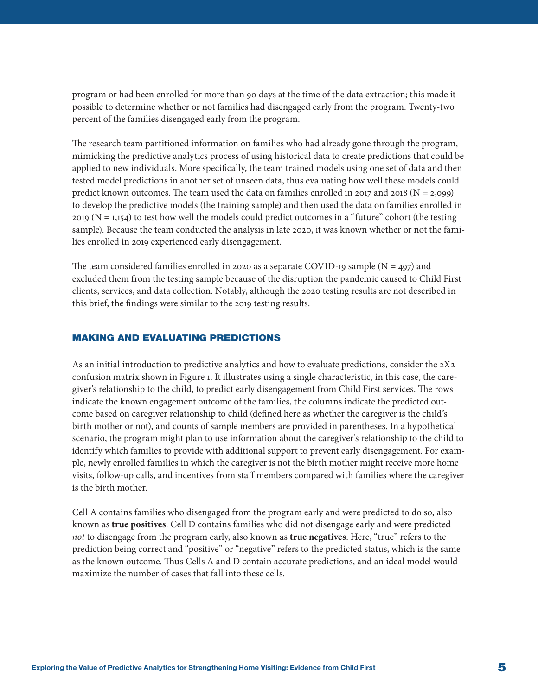program or had been enrolled for more than 90 days at the time of the data extraction; this made it possible to determine whether or not families had disengaged early from the program. Twenty-two percent of the families disengaged early from the program.

The research team partitioned information on families who had already gone through the program, mimicking the predictive analytics process of using historical data to create predictions that could be applied to new individuals. More specifically, the team trained models using one set of data and then tested model predictions in another set of unseen data, thus evaluating how well these models could predict known outcomes. The team used the data on families enrolled in 2017 and 2018 (N = 2,099) to develop the predictive models (the training sample) and then used the data on families enrolled in  $2019$  (N = 1,154) to test how well the models could predict outcomes in a "future" cohort (the testing sample). Because the team conducted the analysis in late 2020, it was known whether or not the families enrolled in 2019 experienced early disengagement.

The team considered families enrolled in 2020 as a separate COVID-19 sample ( $N = 497$ ) and excluded them from the testing sample because of the disruption the pandemic caused to Child First clients, services, and data collection. Notably, although the 2020 testing results are not described in this brief, the findings were similar to the 2019 testing results.

## MAKING AND EVALUATING PREDICTIONS

As an initial introduction to predictive analytics and how to evaluate predictions, consider the 2X2 confusion matrix shown in Figure 1. It illustrates using a single characteristic, in this case, the caregiver's relationship to the child, to predict early disengagement from Child First services. The rows indicate the known engagement outcome of the families, the columns indicate the predicted outcome based on caregiver relationship to child (defined here as whether the caregiver is the child's birth mother or not), and counts of sample members are provided in parentheses. In a hypothetical scenario, the program might plan to use information about the caregiver's relationship to the child to identify which families to provide with additional support to prevent early disengagement. For example, newly enrolled families in which the caregiver is not the birth mother might receive more home visits, follow-up calls, and incentives from staff members compared with families where the caregiver is the birth mother.

Cell A contains families who disengaged from the program early and were predicted to do so, also known as **true positives**. Cell D contains families who did not disengage early and were predicted *not* to disengage from the program early, also known as **true negatives**. Here, "true" refers to the prediction being correct and "positive" or "negative" refers to the predicted status, which is the same as the known outcome. Thus Cells A and D contain accurate predictions, and an ideal model would maximize the number of cases that fall into these cells.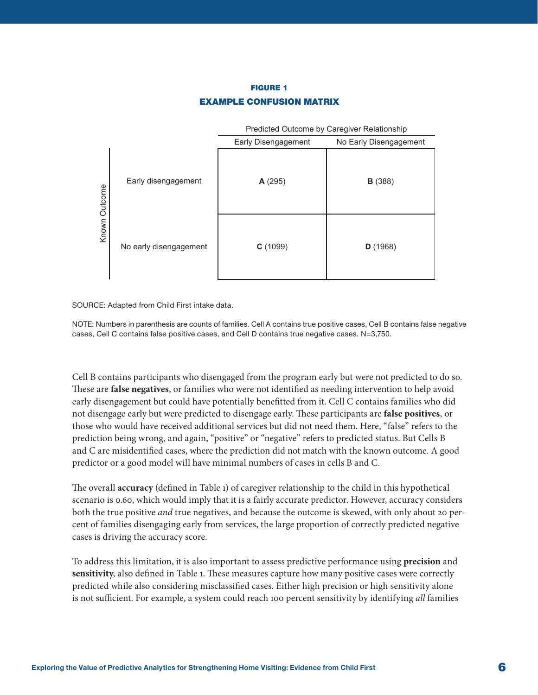## FIGURE 1 EXAMPLE CONFUSION MATRIX



SOURCE: Adapted from Child First intake data.

NOTE: Numbers in parenthesis are counts of families. Cell A contains true positive cases, Cell B contains false negative cases, Cell C contains false positive cases, and Cell D contains true negative cases. N=3,750.

Cell B contains participants who disengaged from the program early but were not predicted to do so. These are **false negatives**, or families who were not identified as needing intervention to help avoid early disengagement but could have potentially benefitted from it. Cell C contains families who did not disengage early but were predicted to disengage early. These participants are **false positives**, or those who would have received additional services but did not need them. Here, "false" refers to the prediction being wrong, and again, "positive" or "negative" refers to predicted status. But Cells B and C are misidentified cases, where the prediction did not match with the known outcome. A good predictor or a good model will have minimal numbers of cases in cells B and C.

The overall **accuracy** (defined in Table 1) of caregiver relationship to the child in this hypothetical scenario is 0.60, which would imply that it is a fairly accurate predictor. However, accuracy considers both the true positive *and* true negatives, and because the outcome is skewed, with only about 20 percent of families disengaging early from services, the large proportion of correctly predicted negative cases is driving the accuracy score.

To address this limitation, it is also important to assess predictive performance using **precision** and **sensitivity**, also defined in Table 1. These measures capture how many positive cases were correctly predicted while also considering misclassified cases. Either high precision or high sensitivity alone is not sufficient. For example, a system could reach 100 percent sensitivity by identifying *all* families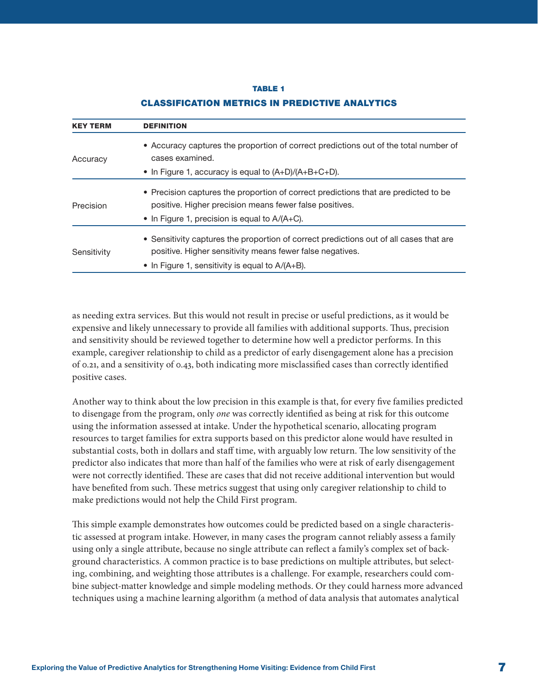#### TABLE 1

| <b>KEY TERM</b> | <b>DEFINITION</b>                                                                                                                                                                                         |  |  |
|-----------------|-----------------------------------------------------------------------------------------------------------------------------------------------------------------------------------------------------------|--|--|
| Accuracy        | • Accuracy captures the proportion of correct predictions out of the total number of<br>cases examined.                                                                                                   |  |  |
|                 | • In Figure 1, accuracy is equal to $(A+D)/(A+B+C+D)$ .                                                                                                                                                   |  |  |
| Precision       | • Precision captures the proportion of correct predictions that are predicted to be<br>positive. Higher precision means fewer false positives.<br>• In Figure 1, precision is equal to $A/(A+C)$ .        |  |  |
| Sensitivity     | • Sensitivity captures the proportion of correct predictions out of all cases that are<br>positive. Higher sensitivity means fewer false negatives.<br>• In Figure 1, sensitivity is equal to $A/(A+B)$ . |  |  |

#### CLASSIFICATION METRICS IN PREDICTIVE ANALYTICS

as needing extra services. But this would not result in precise or useful predictions, as it would be expensive and likely unnecessary to provide all families with additional supports. Thus, precision and sensitivity should be reviewed together to determine how well a predictor performs. In this example, caregiver relationship to child as a predictor of early disengagement alone has a precision of 0.21, and a sensitivity of 0.43, both indicating more misclassified cases than correctly identified positive cases.

Another way to think about the low precision in this example is that, for every five families predicted to disengage from the program, only *one* was correctly identified as being at risk for this outcome using the information assessed at intake. Under the hypothetical scenario, allocating program resources to target families for extra supports based on this predictor alone would have resulted in substantial costs, both in dollars and staff time, with arguably low return. The low sensitivity of the predictor also indicates that more than half of the families who were at risk of early disengagement were not correctly identified. These are cases that did not receive additional intervention but would have benefited from such. These metrics suggest that using only caregiver relationship to child to make predictions would not help the Child First program.

This simple example demonstrates how outcomes could be predicted based on a single characteristic assessed at program intake. However, in many cases the program cannot reliably assess a family using only a single attribute, because no single attribute can reflect a family's complex set of background characteristics. A common practice is to base predictions on multiple attributes, but selecting, combining, and weighting those attributes is a challenge. For example, researchers could combine subject-matter knowledge and simple modeling methods. Or they could harness more advanced techniques using a machine learning algorithm (a method of data analysis that automates analytical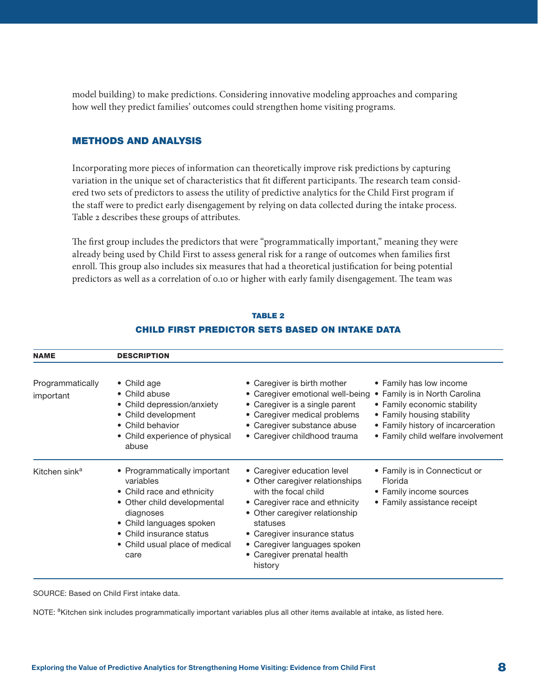model building) to make predictions. Considering innovative modeling approaches and comparing how well they predict families' outcomes could strengthen home visiting programs.

## METHODS AND ANALYSIS

Incorporating more pieces of information can theoretically improve risk predictions by capturing variation in the unique set of characteristics that fit different participants. The research team considered two sets of predictors to assess the utility of predictive analytics for the Child First program if the staff were to predict early disengagement by relying on data collected during the intake process. Table 2 describes these groups of attributes.

The first group includes the predictors that were "programmatically important," meaning they were already being used by Child First to assess general risk for a range of outcomes when families first enroll. This group also includes six measures that had a theoretical justification for being potential predictors as well as a correlation of 0.10 or higher with early family disengagement. The team was

| <b>NAME</b>                   | <b>DESCRIPTION</b>                                                                                                                                                                                                    |                                                                                                                                                                                                                                                                                  |                                                                                                                                                                                                  |
|-------------------------------|-----------------------------------------------------------------------------------------------------------------------------------------------------------------------------------------------------------------------|----------------------------------------------------------------------------------------------------------------------------------------------------------------------------------------------------------------------------------------------------------------------------------|--------------------------------------------------------------------------------------------------------------------------------------------------------------------------------------------------|
| Programmatically<br>important | $\bullet$ Child age<br>• Child abuse<br>• Child depression/anxiety<br>• Child development<br>• Child behavior<br>• Child experience of physical<br>abuse                                                              | • Caregiver is birth mother<br>• Caregiver emotional well-being<br>• Caregiver is a single parent<br>• Caregiver medical problems<br>• Caregiver substance abuse<br>• Caregiver childhood trauma                                                                                 | • Family has low income<br>• Family is in North Carolina<br>• Family economic stability<br>• Family housing stability<br>• Family history of incarceration<br>• Family child welfare involvement |
| Kitchen sink <sup>a</sup>     | • Programmatically important<br>variables<br>• Child race and ethnicity<br>• Other child developmental<br>diagnoses<br>• Child languages spoken<br>• Child insurance status<br>• Child usual place of medical<br>care | • Caregiver education level<br>• Other caregiver relationships<br>with the focal child<br>• Caregiver race and ethnicity<br>• Other caregiver relationship<br>statuses<br>• Caregiver insurance status<br>• Caregiver languages spoken<br>• Caregiver prenatal health<br>history | • Family is in Connecticut or<br>Florida<br>• Family income sources<br>• Family assistance receipt                                                                                               |

## TABLE 2 CHILD FIRST PREDICTOR SETS BASED ON INTAKE DATA

SOURCE: Based on Child First intake data.

NOTE: <sup>a</sup>Kitchen sink includes programmatically important variables plus all other items available at intake, as listed here.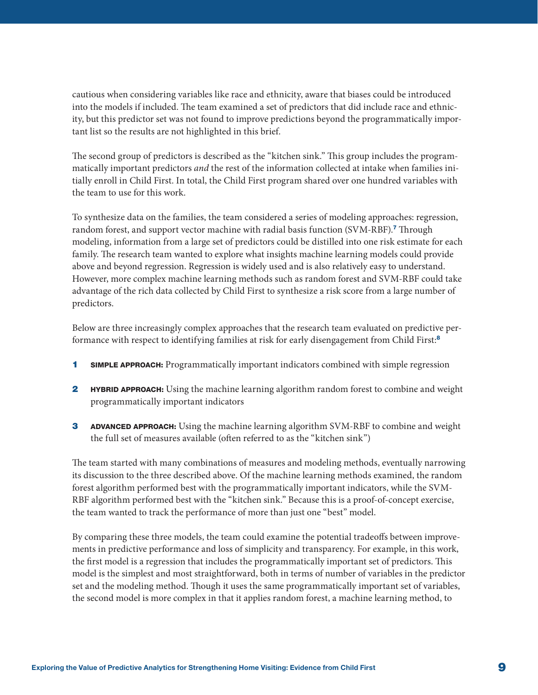<span id="page-8-0"></span>cautious when considering variables like race and ethnicity, aware that biases could be introduced into the models if included. The team examined a set of predictors that did include race and ethnicity, but this predictor set was not found to improve predictions beyond the programmatically important list so the results are not highlighted in this brief.

The second group of predictors is described as the "kitchen sink." This group includes the programmatically important predictors *and* the rest of the information collected at intake when families initially enroll in Child First. In total, the Child First program shared over one hundred variables with the team to use for this work.

To synthesize data on the families, the team considered a series of modeling approaches: regression, random forest, and support vector machine with radial basis function (SVM-RBF).<sup>[7](#page-17-0)</sup> Through modeling, information from a large set of predictors could be distilled into one risk estimate for each family. The research team wanted to explore what insights machine learning models could provide above and beyond regression. Regression is widely used and is also relatively easy to understand. However, more complex machine learning methods such as random forest and SVM-RBF could take advantage of the rich data collected by Child First to synthesize a risk score from a large number of predictors.

Below are three increasingly complex approaches that the research team evaluated on predictive per-formance with respect to identifying families at risk for early disengagement from Child First:<sup>[8](#page-17-0)</sup>

- 1 SIMPLE APPROACH: Programmatically important indicators combined with simple regression
- **2 HYBRID APPROACH:** Using the machine learning algorithm random forest to combine and weight programmatically important indicators
- 3 ADVANCED APPROACH: Using the machine learning algorithm SVM-RBF to combine and weight the full set of measures available (often referred to as the "kitchen sink")

The team started with many combinations of measures and modeling methods, eventually narrowing its discussion to the three described above. Of the machine learning methods examined, the random forest algorithm performed best with the programmatically important indicators, while the SVM-RBF algorithm performed best with the "kitchen sink." Because this is a proof-of-concept exercise, the team wanted to track the performance of more than just one "best" model.

By comparing these three models, the team could examine the potential tradeoffs between improvements in predictive performance and loss of simplicity and transparency. For example, in this work, the first model is a regression that includes the programmatically important set of predictors. This model is the simplest and most straightforward, both in terms of number of variables in the predictor set and the modeling method. Though it uses the same programmatically important set of variables, the second model is more complex in that it applies random forest, a machine learning method, to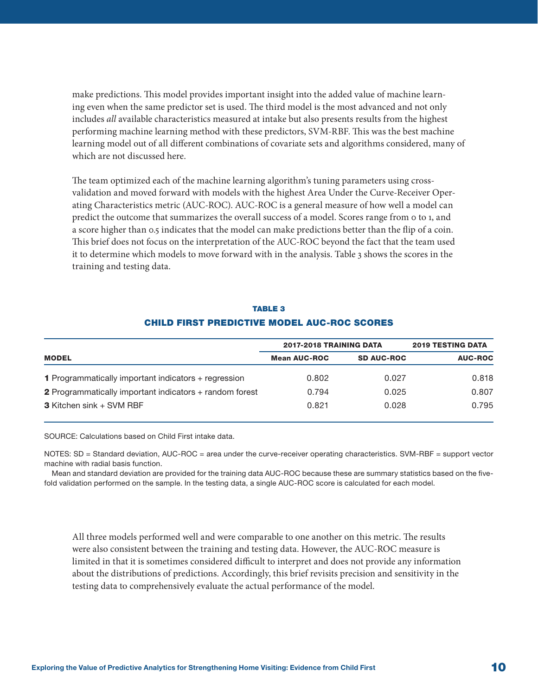make predictions. This model provides important insight into the added value of machine learning even when the same predictor set is used. The third model is the most advanced and not only includes *all* available characteristics measured at intake but also presents results from the highest performing machine learning method with these predictors, SVM-RBF. This was the best machine learning model out of all different combinations of covariate sets and algorithms considered, many of which are not discussed here.

The team optimized each of the machine learning algorithm's tuning parameters using crossvalidation and moved forward with models with the highest Area Under the Curve-Receiver Operating Characteristics metric (AUC-ROC). AUC-ROC is a general measure of how well a model can predict the outcome that summarizes the overall success of a model. Scores range from 0 to 1, and a score higher than 0.5 indicates that the model can make predictions better than the flip of a coin. This brief does not focus on the interpretation of the AUC-ROC beyond the fact that the team used it to determine which models to move forward with in the analysis. Table 3 shows the scores in the training and testing data.

|                                                                | 2017-2018 TRAINING DATA | <b>2019 TESTING DATA</b> |                |
|----------------------------------------------------------------|-------------------------|--------------------------|----------------|
| <b>MODEL</b>                                                   | <b>Mean AUC-ROC</b>     | <b>SD AUC-ROC</b>        | <b>AUC-ROC</b> |
| <b>1</b> Programmatically important indicators + regression    | 0.802                   | 0.027                    | 0.818          |
| <b>2</b> Programmatically important indicators + random forest | 0.794                   | 0.025                    | 0.807          |
| <b>3</b> Kitchen sink + SVM RBF                                | 0.821                   | 0.028                    | 0.795          |

## TABLE 3 CHILD FIRST PREDICTIVE MODEL AUC-ROC SCORES

SOURCE: Calculations based on Child First intake data.

NOTES: SD = Standard deviation, AUC-ROC = area under the curve-receiver operating characteristics. SVM-RBF = support vector machine with radial basis function.

Mean and standard deviation are provided for the training data AUC-ROC because these are summary statistics based on the fivefold validation performed on the sample. In the testing data, a single AUC-ROC score is calculated for each model.

All three models performed well and were comparable to one another on this metric. The results were also consistent between the training and testing data. However, the AUC-ROC measure is limited in that it is sometimes considered difficult to interpret and does not provide any information about the distributions of predictions. Accordingly, this brief revisits precision and sensitivity in the testing data to comprehensively evaluate the actual performance of the model.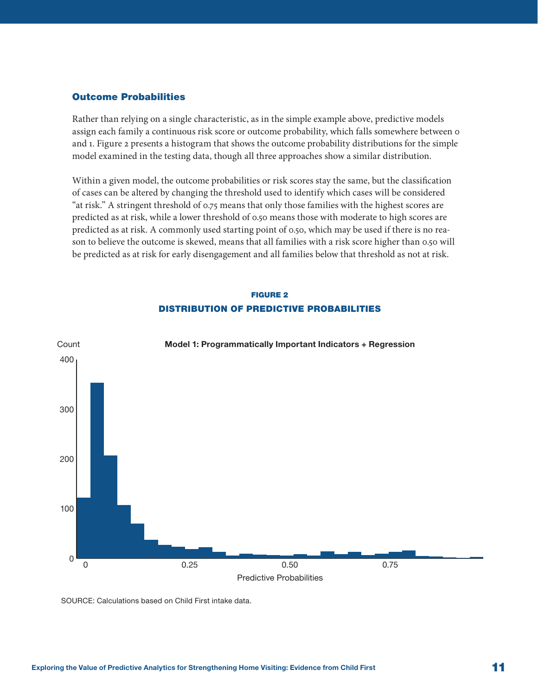## Outcome Probabilities

Rather than relying on a single characteristic, as in the simple example above, predictive models assign each family a continuous risk score or outcome probability, which falls somewhere between 0 and 1. Figure 2 presents a histogram that shows the outcome probability distributions for the simple model examined in the testing data, though all three approaches show a similar distribution.

Within a given model, the outcome probabilities or risk scores stay the same, but the classification of cases can be altered by changing the threshold used to identify which cases will be considered "at risk." A stringent threshold of 0.75 means that only those families with the highest scores are predicted as at risk, while a lower threshold of 0.50 means those with moderate to high scores are predicted as at risk. A commonly used starting point of 0.50, which may be used if there is no reason to believe the outcome is skewed, means that all families with a risk score higher than 0.50 will be predicted as at risk for early disengagement and all families below that threshold as not at risk.

## FIGURE 2 DISTRIBUTION OF PREDICTIVE PROBABILITIES



SOURCE: Calculations based on Child First intake data.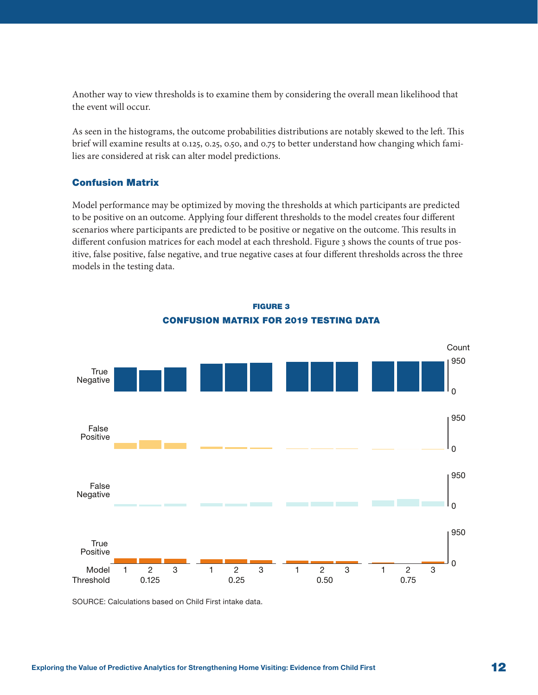Another way to view thresholds is to examine them by considering the overall mean likelihood that the event will occur.

As seen in the histograms, the outcome probabilities distributions are notably skewed to the left. This brief will examine results at 0.125, 0.25, 0.50, and 0.75 to better understand how changing which families are considered at risk can alter model predictions.

#### Confusion Matrix

Model performance may be optimized by moving the thresholds at which participants are predicted to be positive on an outcome. Applying four different thresholds to the model creates four different scenarios where participants are predicted to be positive or negative on the outcome. This results in different confusion matrices for each model at each threshold. Figure 3 shows the counts of true positive, false positive, false negative, and true negative cases at four different thresholds across the three models in the testing data.



FIGURE 3 CONFUSION MATRIX FOR 2019 TESTING DATA

SOURCE: Calculations based on Child First intake data.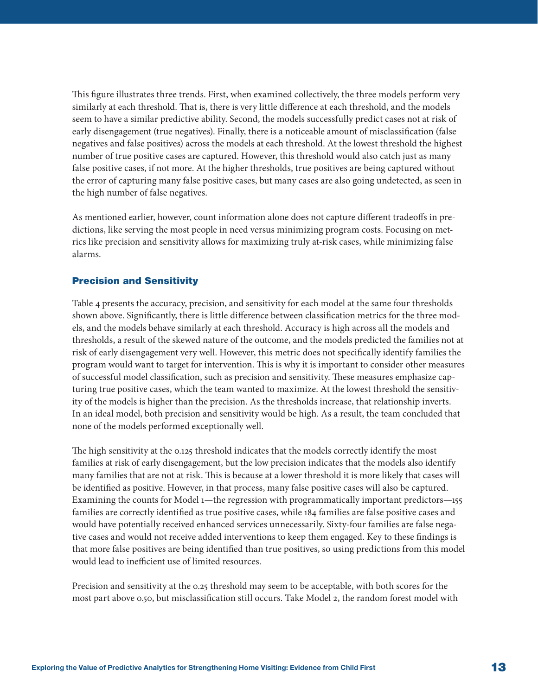This figure illustrates three trends. First, when examined collectively, the three models perform very similarly at each threshold. That is, there is very little difference at each threshold, and the models seem to have a similar predictive ability. Second, the models successfully predict cases not at risk of early disengagement (true negatives). Finally, there is a noticeable amount of misclassification (false negatives and false positives) across the models at each threshold. At the lowest threshold the highest number of true positive cases are captured. However, this threshold would also catch just as many false positive cases, if not more. At the higher thresholds, true positives are being captured without the error of capturing many false positive cases, but many cases are also going undetected, as seen in the high number of false negatives.

As mentioned earlier, however, count information alone does not capture different tradeoffs in predictions, like serving the most people in need versus minimizing program costs. Focusing on metrics like precision and sensitivity allows for maximizing truly at-risk cases, while minimizing false alarms.

## Precision and Sensitivity

Table 4 presents the accuracy, precision, and sensitivity for each model at the same four thresholds shown above. Significantly, there is little difference between classification metrics for the three models, and the models behave similarly at each threshold. Accuracy is high across all the models and thresholds, a result of the skewed nature of the outcome, and the models predicted the families not at risk of early disengagement very well. However, this metric does not specifically identify families the program would want to target for intervention. This is why it is important to consider other measures of successful model classification, such as precision and sensitivity. These measures emphasize capturing true positive cases, which the team wanted to maximize. At the lowest threshold the sensitivity of the models is higher than the precision. As the thresholds increase, that relationship inverts. In an ideal model, both precision and sensitivity would be high. As a result, the team concluded that none of the models performed exceptionally well.

The high sensitivity at the 0.125 threshold indicates that the models correctly identify the most families at risk of early disengagement, but the low precision indicates that the models also identify many families that are not at risk. This is because at a lower threshold it is more likely that cases will be identified as positive. However, in that process, many false positive cases will also be captured. Examining the counts for Model 1—the regression with programmatically important predictors—155 families are correctly identified as true positive cases, while 184 families are false positive cases and would have potentially received enhanced services unnecessarily. Sixty-four families are false negative cases and would not receive added interventions to keep them engaged. Key to these findings is that more false positives are being identified than true positives, so using predictions from this model would lead to inefficient use of limited resources.

Precision and sensitivity at the 0.25 threshold may seem to be acceptable, with both scores for the most part above 0.50, but misclassification still occurs. Take Model 2, the random forest model with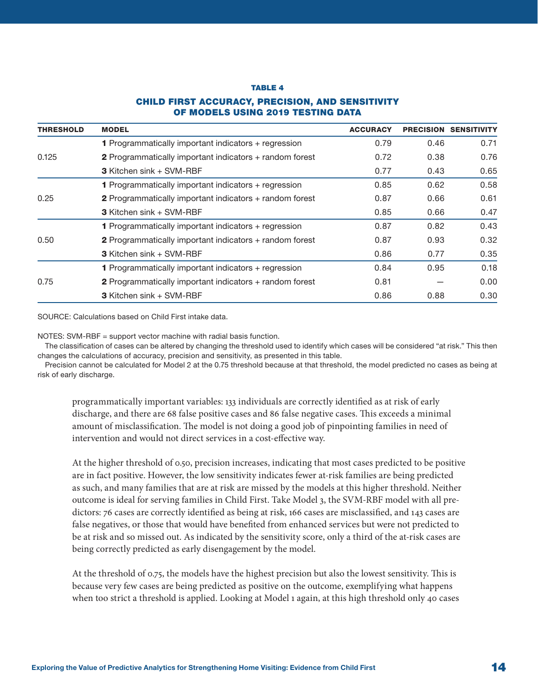#### TABLE 4

#### CHILD FIRST ACCURACY, PRECISION, AND SENSITIVITY OF MODELS USING 2019 TESTING DATA

| <b>THRESHOLD</b> | <b>MODEL</b>                                                   | <b>ACCURACY</b> | <b>PRECISION</b> | <b>SENSITIVITY</b> |
|------------------|----------------------------------------------------------------|-----------------|------------------|--------------------|
|                  | 1 Programmatically important indicators + regression           | 0.79            | 0.46             | 0.71               |
| 0.125            | 2 Programmatically important indicators + random forest        | 0.72            | 0.38             | 0.76               |
|                  | <b>3</b> Kitchen sink + SVM-RBF                                | 0.77            | 0.43             | 0.65               |
|                  | <b>1</b> Programmatically important indicators + regression    | 0.85            | 0.62             | 0.58               |
| 0.25             | 2 Programmatically important indicators + random forest        | 0.87            | 0.66             | 0.61               |
|                  | <b>3</b> Kitchen sink + SVM-RBF                                | 0.85            | 0.66             | 0.47               |
|                  | <b>1</b> Programmatically important indicators + regression    | 0.87            | 0.82             | 0.43               |
| 0.50             | 2 Programmatically important indicators + random forest        | 0.87            | 0.93             | 0.32               |
|                  | 3 Kitchen sink + SVM-RBF                                       | 0.86            | 0.77             | 0.35               |
| 0.75             | <b>1</b> Programmatically important indicators + regression    | 0.84            | 0.95             | 0.18               |
|                  | <b>2</b> Programmatically important indicators + random forest | 0.81            |                  | 0.00               |
|                  | <b>3</b> Kitchen sink + SVM-RBF                                | 0.86            | 0.88             | 0.30               |

SOURCE: Calculations based on Child First intake data.

NOTES: SVM-RBF = support vector machine with radial basis function.

The classification of cases can be altered by changing the threshold used to identify which cases will be considered "at risk." This then changes the calculations of accuracy, precision and sensitivity, as presented in this table.

Precision cannot be calculated for Model 2 at the 0.75 threshold because at that threshold, the model predicted no cases as being at risk of early discharge.

programmatically important variables: 133 individuals are correctly identified as at risk of early discharge, and there are 68 false positive cases and 86 false negative cases. This exceeds a minimal amount of misclassification. The model is not doing a good job of pinpointing families in need of intervention and would not direct services in a cost-effective way.

At the higher threshold of 0.50, precision increases, indicating that most cases predicted to be positive are in fact positive. However, the low sensitivity indicates fewer at-risk families are being predicted as such, and many families that are at risk are missed by the models at this higher threshold. Neither outcome is ideal for serving families in Child First. Take Model 3, the SVM-RBF model with all predictors: 76 cases are correctly identified as being at risk, 166 cases are misclassified, and 143 cases are false negatives, or those that would have benefited from enhanced services but were not predicted to be at risk and so missed out. As indicated by the sensitivity score, only a third of the at-risk cases are being correctly predicted as early disengagement by the model.

At the threshold of 0.75, the models have the highest precision but also the lowest sensitivity. This is because very few cases are being predicted as positive on the outcome, exemplifying what happens when too strict a threshold is applied. Looking at Model 1 again, at this high threshold only 40 cases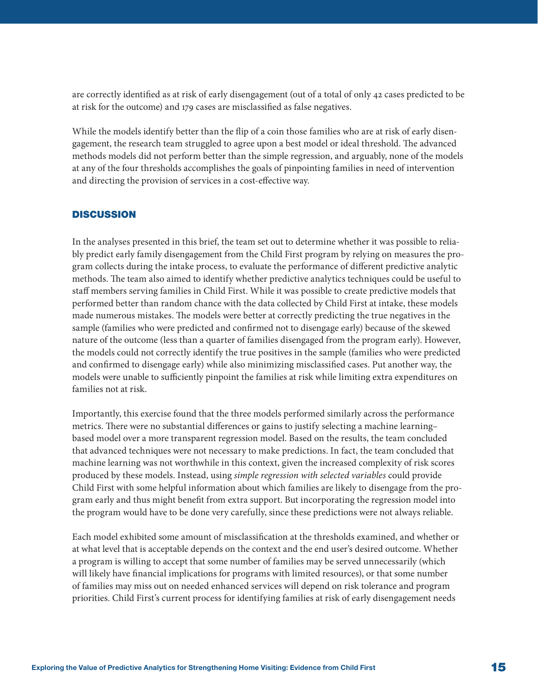are correctly identified as at risk of early disengagement (out of a total of only 42 cases predicted to be at risk for the outcome) and 179 cases are misclassified as false negatives.

While the models identify better than the flip of a coin those families who are at risk of early disengagement, the research team struggled to agree upon a best model or ideal threshold. The advanced methods models did not perform better than the simple regression, and arguably, none of the models at any of the four thresholds accomplishes the goals of pinpointing families in need of intervention and directing the provision of services in a cost-effective way.

#### **DISCUSSION**

In the analyses presented in this brief, the team set out to determine whether it was possible to reliably predict early family disengagement from the Child First program by relying on measures the program collects during the intake process, to evaluate the performance of different predictive analytic methods. The team also aimed to identify whether predictive analytics techniques could be useful to staff members serving families in Child First. While it was possible to create predictive models that performed better than random chance with the data collected by Child First at intake, these models made numerous mistakes. The models were better at correctly predicting the true negatives in the sample (families who were predicted and confirmed not to disengage early) because of the skewed nature of the outcome (less than a quarter of families disengaged from the program early). However, the models could not correctly identify the true positives in the sample (families who were predicted and confirmed to disengage early) while also minimizing misclassified cases. Put another way, the models were unable to sufficiently pinpoint the families at risk while limiting extra expenditures on families not at risk.

Importantly, this exercise found that the three models performed similarly across the performance metrics. There were no substantial differences or gains to justify selecting a machine learning– based model over a more transparent regression model. Based on the results, the team concluded that advanced techniques were not necessary to make predictions. In fact, the team concluded that machine learning was not worthwhile in this context, given the increased complexity of risk scores produced by these models. Instead, using *simple regression with selected variables* could provide Child First with some helpful information about which families are likely to disengage from the program early and thus might benefit from extra support. But incorporating the regression model into the program would have to be done very carefully, since these predictions were not always reliable.

Each model exhibited some amount of misclassification at the thresholds examined, and whether or at what level that is acceptable depends on the context and the end user's desired outcome. Whether a program is willing to accept that some number of families may be served unnecessarily (which will likely have financial implications for programs with limited resources), or that some number of families may miss out on needed enhanced services will depend on risk tolerance and program priorities. Child First's current process for identifying families at risk of early disengagement needs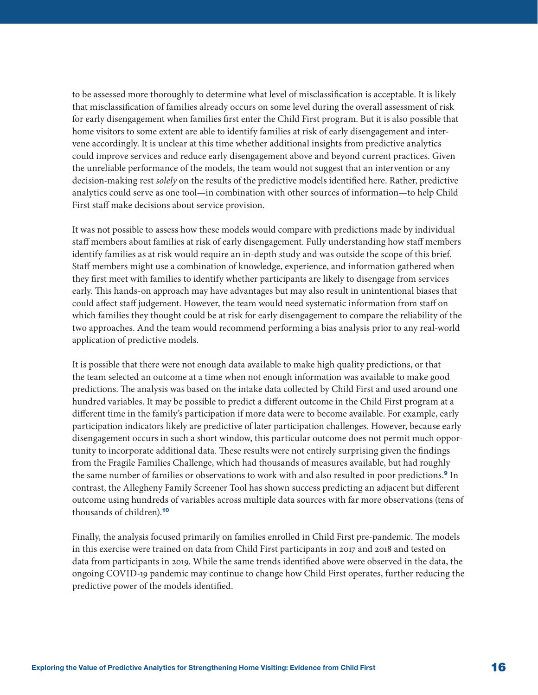<span id="page-15-0"></span>to be assessed more thoroughly to determine what level of misclassification is acceptable. It is likely that misclassification of families already occurs on some level during the overall assessment of risk for early disengagement when families first enter the Child First program. But it is also possible that home visitors to some extent are able to identify families at risk of early disengagement and intervene accordingly. It is unclear at this time whether additional insights from predictive analytics could improve services and reduce early disengagement above and beyond current practices. Given the unreliable performance of the models, the team would not suggest that an intervention or any decision-making rest *solely* on the results of the predictive models identified here. Rather, predictive analytics could serve as one tool—in combination with other sources of information—to help Child First staff make decisions about service provision.

It was not possible to assess how these models would compare with predictions made by individual staff members about families at risk of early disengagement. Fully understanding how staff members identify families as at risk would require an in-depth study and was outside the scope of this brief. Staff members might use a combination of knowledge, experience, and information gathered when they first meet with families to identify whether participants are likely to disengage from services early. This hands-on approach may have advantages but may also result in unintentional biases that could affect staff judgement. However, the team would need systematic information from staff on which families they thought could be at risk for early disengagement to compare the reliability of the two approaches. And the team would recommend performing a bias analysis prior to any real-world application of predictive models.

It is possible that there were not enough data available to make high quality predictions, or that the team selected an outcome at a time when not enough information was available to make good predictions. The analysis was based on the intake data collected by Child First and used around one hundred variables. It may be possible to predict a different outcome in the Child First program at a different time in the family's participation if more data were to become available. For example, early participation indicators likely are predictive of later participation challenges. However, because early disengagement occurs in such a short window, this particular outcome does not permit much opportunity to incorporate additional data. These results were not entirely surprising given the findings from the Fragile Families Challenge, which had thousands of measures available, but had roughly the same number of families or observations to work with and also resulted in poor predictions.<sup>[9](#page-17-0)</sup> In contrast, the Allegheny Family Screener Tool has shown success predicting an adjacent but different outcome using hundreds of variables across multiple data sources with far more observations (tens of thousands of children).[10](#page-17-0)

Finally, the analysis focused primarily on families enrolled in Child First pre-pandemic. The models in this exercise were trained on data from Child First participants in 2017 and 2018 and tested on data from participants in 2019. While the same trends identified above were observed in the data, the ongoing COVID-19 pandemic may continue to change how Child First operates, further reducing the predictive power of the models identified.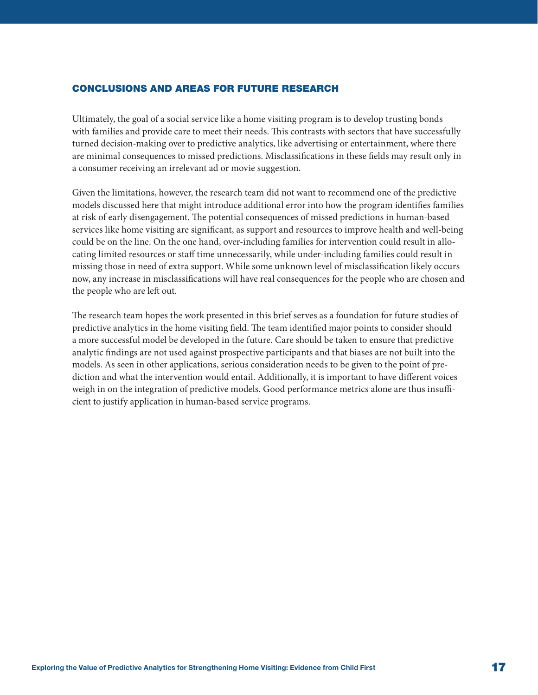## CONCLUSIONS AND AREAS FOR FUTURE RESEARCH

Ultimately, the goal of a social service like a home visiting program is to develop trusting bonds with families and provide care to meet their needs. This contrasts with sectors that have successfully turned decision-making over to predictive analytics, like advertising or entertainment, where there are minimal consequences to missed predictions. Misclassifications in these fields may result only in a consumer receiving an irrelevant ad or movie suggestion.

Given the limitations, however, the research team did not want to recommend one of the predictive models discussed here that might introduce additional error into how the program identifies families at risk of early disengagement. The potential consequences of missed predictions in human-based services like home visiting are significant, as support and resources to improve health and well-being could be on the line. On the one hand, over-including families for intervention could result in allocating limited resources or staff time unnecessarily, while under-including families could result in missing those in need of extra support. While some unknown level of misclassification likely occurs now, any increase in misclassifications will have real consequences for the people who are chosen and the people who are left out.

The research team hopes the work presented in this brief serves as a foundation for future studies of predictive analytics in the home visiting field. The team identified major points to consider should a more successful model be developed in the future. Care should be taken to ensure that predictive analytic findings are not used against prospective participants and that biases are not built into the models. As seen in other applications, serious consideration needs to be given to the point of prediction and what the intervention would entail. Additionally, it is important to have different voices weigh in on the integration of predictive models. Good performance metrics alone are thus insufficient to justify application in human-based service programs.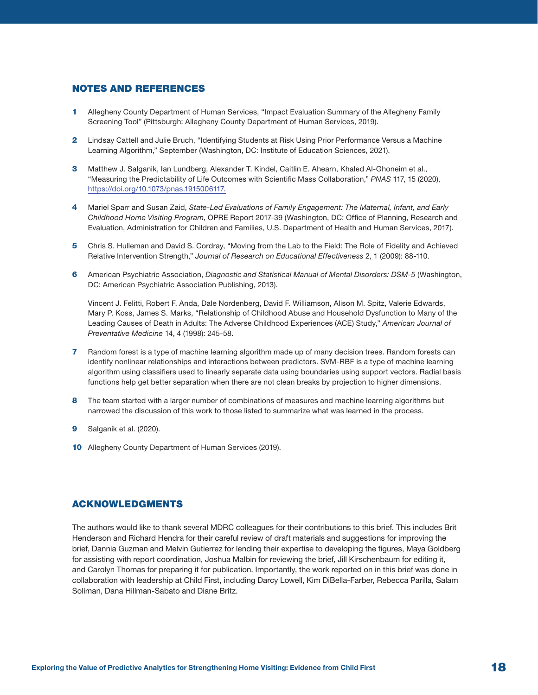#### <span id="page-17-0"></span>NOTES AND REFERENCES

- [1](#page-1-0) Allegheny County Department of Human Services, "Impact Evaluation Summary of the Allegheny Family Screening Tool" (Pittsburgh: Allegheny County Department of Human Services, 2019).
- [2](#page-1-0) Lindsay Cattell and Julie Bruch, "Identifying Students at Risk Using Prior Performance Versus a Machine Learning Algorithm," September (Washington, DC: Institute of Education Sciences, 2021).
- [3](#page-1-0) Matthew J. Salganik, Ian Lundberg, Alexander T. Kindel, Caitlin E. Ahearn, Khaled Al-Ghoneim et al., "Measuring the Predictability of Life Outcomes with Scientific Mass Collaboration," *PNAS* 117, 15 (2020), [https://doi.org/10.1073/pnas.1915006117.](https://doi.org/10.1073/pnas.1915006117)
- [4](#page-2-0) Mariel Sparr and Susan Zaid, *State-Led Evaluations of Family Engagement: The Maternal, Infant, and Early Childhood Home Visiting Program*, OPRE Report 2017-39 (Washington, DC: Office of Planning, Research and Evaluation, Administration for Children and Families, U.S. Department of Health and Human Services, 2017).
- [5](#page-2-0) Chris S. Hulleman and David S. Cordray, "Moving from the Lab to the Field: The Role of Fidelity and Achieved Relative Intervention Strength," *Journal of Research on Educational Effectiveness* 2, 1 (2009): 88-110.
- [6](#page-2-0) American Psychiatric Association, *Diagnostic and Statistical Manual of Mental Disorders: DSM-5* (Washington, DC: American Psychiatric Association Publishing, 2013).

Vincent J. Felitti, Robert F. Anda, Dale Nordenberg, David F. Williamson, Alison M. Spitz, Valerie Edwards, Mary P. Koss, James S. Marks, "Relationship of Childhood Abuse and Household Dysfunction to Many of the Leading Causes of Death in Adults: The Adverse Childhood Experiences (ACE) Study," *American Journal of Preventative Medicine* 14, 4 (1998): 245-58.

- [7](#page-8-0) Random forest is a type of machine learning algorithm made up of many decision trees. Random forests can identify nonlinear relationships and interactions between predictors. SVM-RBF is a type of machine learning algorithm using classifiers used to linearly separate data using boundaries using support vectors. Radial basis functions help get better separation when there are not clean breaks by projection to higher dimensions.
- [8](#page-8-0) The team started with a larger number of combinations of measures and machine learning algorithms but narrowed the discussion of this work to those listed to summarize what was learned in the process.
- **[9](#page-15-0)** Salganik et al. (2020).
- [10](#page-15-0) Allegheny County Department of Human Services (2019).

## ACKNOWLEDGMENTS

The authors would like to thank several MDRC colleagues for their contributions to this brief. This includes Brit Henderson and Richard Hendra for their careful review of draft materials and suggestions for improving the brief, Dannia Guzman and Melvin Gutierrez for lending their expertise to developing the figures, Maya Goldberg for assisting with report coordination, Joshua Malbin for reviewing the brief, Jill Kirschenbaum for editing it, and Carolyn Thomas for preparing it for publication. Importantly, the work reported on in this brief was done in collaboration with leadership at Child First, including Darcy Lowell, Kim DiBella-Farber, Rebecca Parilla, Salam Soliman, Dana Hillman-Sabato and Diane Britz.